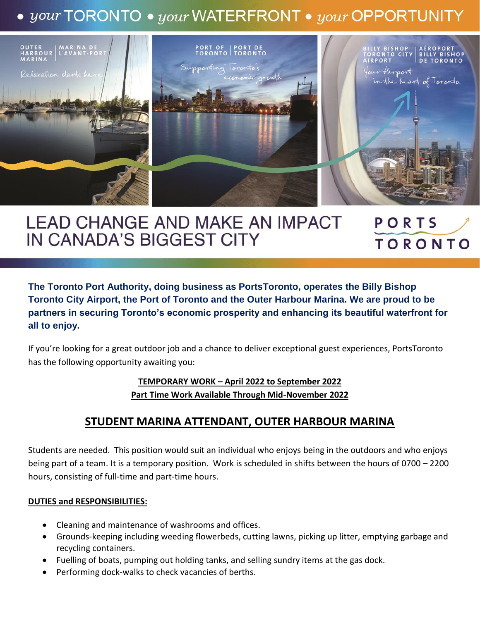# $\bullet$  your TORONTO  $\bullet$  your WATERFRONT  $\bullet$  your OPPORTUNITY



#### **LEAD CHANGE AND MAKE AN IMPACT** PORTS IN CANADA'S BIGGEST CITY **TORONTO**

**The Toronto Port Authority, doing business as PortsToronto, operates the Billy Bishop Toronto City Airport, the Port of Toronto and the Outer Harbour Marina. We are proud to be partners in securing Toronto's economic prosperity and enhancing its beautiful waterfront for all to enjoy.**

If you're looking for a great outdoor job and a chance to deliver exceptional guest experiences, PortsToronto has the following opportunity awaiting you:

# **TEMPORARY WORK – April 2022 to September 2022 Part Time Work Available Through Mid-November 2022**

# **STUDENT MARINA ATTENDANT, OUTER HARBOUR MARINA**

Students are needed. This position would suit an individual who enjoys being in the outdoors and who enjoys being part of a team. It is a temporary position. Work is scheduled in shifts between the hours of 0700 – 2200 hours, consisting of full-time and part-time hours.

#### **DUTIES and RESPONSIBILITIES:**

- Cleaning and maintenance of washrooms and offices.
- Grounds-keeping including weeding flowerbeds, cutting lawns, picking up litter, emptying garbage and recycling containers.
- Fuelling of boats, pumping out holding tanks, and selling sundry items at the gas dock.
- Performing dock-walks to check vacancies of berths.